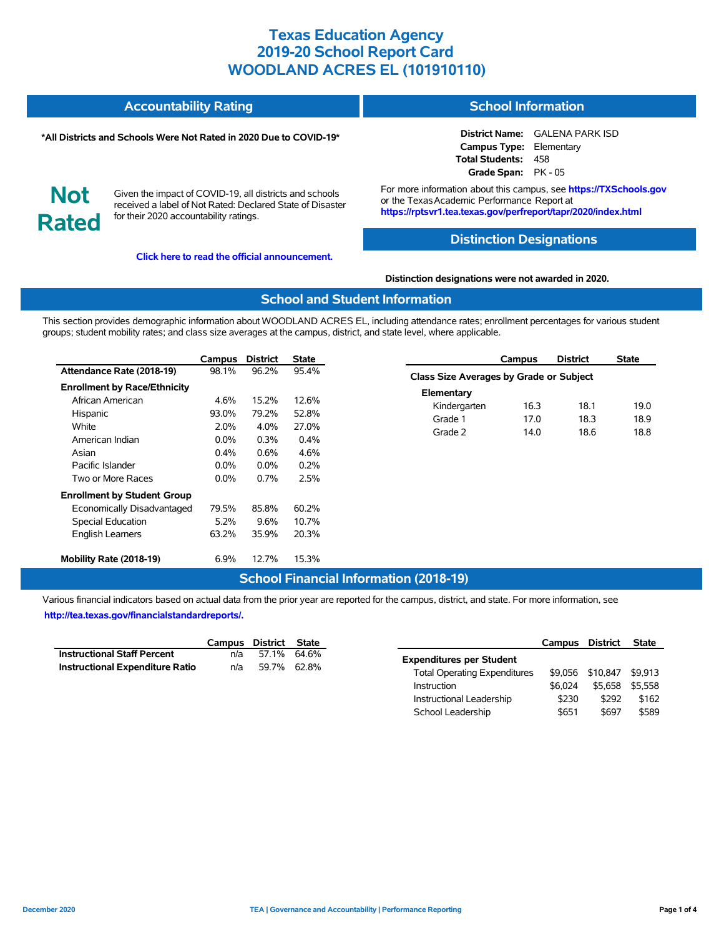| <b>Accountability Rating</b> | <b>School Information</b> |
|------------------------------|---------------------------|
|                              |                           |

#### **\*All Districts and Schools Were Not Rated in 2020 Due to COVID-19\***

**District Name:** GALENA PARK ISD **Campus Type:** Elementary **Total Students:** 458 **Grade Span:** PK - 05

**Not Rated**

Given the impact of COVID-19, all districts and schools received a label of Not Rated: Declared State of Disaster for their 2020 accountability ratings.

**[Click here to read the official announcement.](https://tea.texas.gov/about-tea/news-and-multimedia/correspondence/taa-letters/every-student-succeeds-act-essa-waiver-approval-2020-state-academic-accountability)**

For more information about this campus, see **https://TXSchools.gov** or the Texas Academic Performance Report at **https://rptsvr1.tea.texas.gov/perfreport/tapr/2020/index.html**

### **Distinction Designations**

#### **Distinction designations were not awarded in 2020.**

#### **School and Student Information**

This section provides demographic information about WOODLAND ACRES EL, including attendance rates; enrollment percentages for various student groups; student mobility rates; and class size averages at the campus, district, and state level, where applicable.

|                                     | Campus  | <b>District</b> | <b>State</b> |
|-------------------------------------|---------|-----------------|--------------|
| Attendance Rate (2018-19)           | 98.1%   | 96.2%           | 95.4%        |
| <b>Enrollment by Race/Ethnicity</b> |         |                 |              |
| African American                    | 4.6%    | 15.2%           | 12.6%        |
| Hispanic                            | 93.0%   | 79.2%           | 52.8%        |
| White                               | $2.0\%$ | $4.0\%$         | 27.0%        |
| American Indian                     | $0.0\%$ | 0.3%            | $0.4\%$      |
| Asian                               | 0.4%    | $0.6\%$         | 4.6%         |
| Pacific Islander                    | $0.0\%$ | $0.0\%$         | 0.2%         |
| Two or More Races                   | $0.0\%$ | 0.7%            | 2.5%         |
| <b>Enrollment by Student Group</b>  |         |                 |              |
| Economically Disadvantaged          | 79.5%   | 85.8%           | 60.2%        |
| <b>Special Education</b>            | 5.2%    | 9.6%            | 10.7%        |
| <b>English Learners</b>             | 63.2%   | 35.9%           | 20.3%        |
| Mobility Rate (2018-19)             | 6.9%    | 12.7%           | 15.3%        |

### **Class Size Averages by Grade or Subject Elementary** Kindergarten 16.3 18.1 19.0 Grade 1 17.0 18.3 18.9 Grade 2 14.0 18.6 18.8

**Campus District State**

### **School Financial Information (2018-19)**

Various financial indicators based on actual data from the prior year are reported for the campus, district, and state. For more information, see **[http://tea.texas.gov/financialstandardreports/.](http://tea.texas.gov/financialstandardreports/)**

|                                        | Campus District State |             |  |
|----------------------------------------|-----------------------|-------------|--|
| <b>Instructional Staff Percent</b>     | n/a                   | 57.1% 64.6% |  |
| <b>Instructional Expenditure Ratio</b> | n/a                   | 59.7% 62.8% |  |

|                                     | Campus District |          | <b>State</b> |
|-------------------------------------|-----------------|----------|--------------|
| <b>Expenditures per Student</b>     |                 |          |              |
| <b>Total Operating Expenditures</b> | \$9.056         | \$10,847 | \$9.913      |
| Instruction                         | \$6.024         | \$5.658  | \$5.558      |
| Instructional Leadership            | \$230           | \$292    | \$162        |
| School Leadership                   | \$651           | \$697    | \$589        |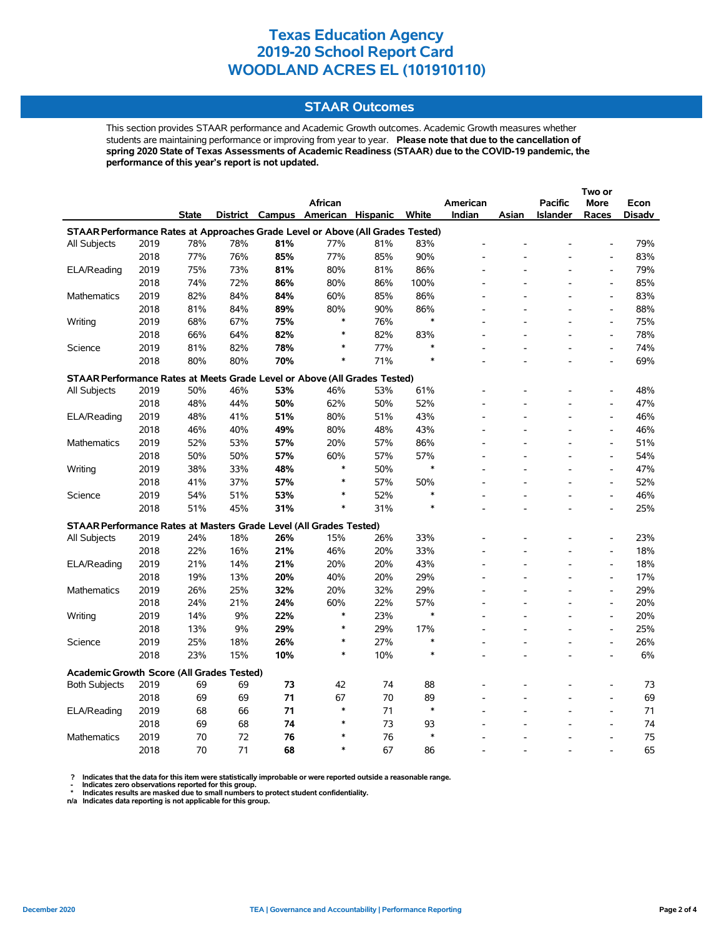### **STAAR Outcomes**

This section provides STAAR performance and Academic Growth outcomes. Academic Growth measures whether students are maintaining performance or improving from year to year. **Please note that due to the cancellation of spring 2020 State of Texas Assessments of Academic Readiness (STAAR) due to the COVID-19 pandemic, the performance of this year's report is not updated.**

|                                                                                |      |              |     |     | <b>African</b>                    |     |        | American |                          | <b>Pacific</b>  | <b>More</b>                  | Econ   |
|--------------------------------------------------------------------------------|------|--------------|-----|-----|-----------------------------------|-----|--------|----------|--------------------------|-----------------|------------------------------|--------|
|                                                                                |      | <b>State</b> |     |     | District Campus American Hispanic |     | White  | Indian   | Asian                    | <b>Islander</b> | Races                        | Disadv |
| STAAR Performance Rates at Approaches Grade Level or Above (All Grades Tested) |      |              |     |     |                                   |     |        |          |                          |                 |                              |        |
| All Subjects                                                                   | 2019 | 78%          | 78% | 81% | 77%                               | 81% | 83%    |          |                          |                 |                              | 79%    |
|                                                                                | 2018 | 77%          | 76% | 85% | 77%                               | 85% | 90%    |          |                          |                 | $\qquad \qquad \blacksquare$ | 83%    |
| ELA/Reading                                                                    | 2019 | 75%          | 73% | 81% | 80%                               | 81% | 86%    |          |                          |                 | $\overline{a}$               | 79%    |
|                                                                                | 2018 | 74%          | 72% | 86% | 80%                               | 86% | 100%   |          |                          |                 | $\overline{a}$               | 85%    |
| <b>Mathematics</b>                                                             | 2019 | 82%          | 84% | 84% | 60%                               | 85% | 86%    |          |                          |                 | $\qquad \qquad \blacksquare$ | 83%    |
|                                                                                | 2018 | 81%          | 84% | 89% | 80%                               | 90% | 86%    |          |                          |                 | $\overline{a}$               | 88%    |
| Writing                                                                        | 2019 | 68%          | 67% | 75% | $\ast$                            | 76% | $\ast$ |          |                          |                 | $\overline{a}$               | 75%    |
|                                                                                | 2018 | 66%          | 64% | 82% | $\ast$                            | 82% | 83%    |          |                          |                 | $\overline{\phantom{a}}$     | 78%    |
| Science                                                                        | 2019 | 81%          | 82% | 78% | ∗                                 | 77% |        |          |                          |                 | $\qquad \qquad \blacksquare$ | 74%    |
|                                                                                | 2018 | 80%          | 80% | 70% | $\ast$                            | 71% |        |          |                          |                 | $\overline{a}$               | 69%    |
| STAAR Performance Rates at Meets Grade Level or Above (All Grades Tested)      |      |              |     |     |                                   |     |        |          |                          |                 |                              |        |
| All Subjects                                                                   | 2019 | 50%          | 46% | 53% | 46%                               | 53% | 61%    |          |                          |                 | $\overline{\phantom{a}}$     | 48%    |
|                                                                                | 2018 | 48%          | 44% | 50% | 62%                               | 50% | 52%    |          |                          |                 | $\overline{a}$               | 47%    |
| ELA/Reading                                                                    | 2019 | 48%          | 41% | 51% | 80%                               | 51% | 43%    |          |                          |                 | $\overline{\phantom{a}}$     | 46%    |
|                                                                                | 2018 | 46%          | 40% | 49% | 80%                               | 48% | 43%    |          |                          |                 | L,                           | 46%    |
| Mathematics                                                                    | 2019 | 52%          | 53% | 57% | 20%                               | 57% | 86%    |          |                          |                 | $\overline{a}$               | 51%    |
|                                                                                | 2018 | 50%          | 50% | 57% | 60%                               | 57% | 57%    |          |                          |                 | $\overline{\phantom{a}}$     | 54%    |
| Writing                                                                        | 2019 | 38%          | 33% | 48% | $\ast$                            | 50% | $\ast$ |          |                          |                 | $\overline{a}$               | 47%    |
|                                                                                | 2018 | 41%          | 37% | 57% | $\ast$                            | 57% | 50%    |          |                          |                 | $\overline{a}$               | 52%    |
| Science                                                                        | 2019 | 54%          | 51% | 53% | $\ast$                            | 52% | $\ast$ |          |                          |                 | $\overline{a}$               | 46%    |
|                                                                                | 2018 | 51%          | 45% | 31% | $\ast$                            | 31% |        |          |                          |                 | $\overline{a}$               | 25%    |
| STAAR Performance Rates at Masters Grade Level (All Grades Tested)             |      |              |     |     |                                   |     |        |          |                          |                 |                              |        |
| All Subjects                                                                   | 2019 | 24%          | 18% | 26% | 15%                               | 26% | 33%    |          |                          |                 | $\qquad \qquad \blacksquare$ | 23%    |
|                                                                                | 2018 | 22%          | 16% | 21% | 46%                               | 20% | 33%    |          |                          |                 | $\overline{\phantom{a}}$     | 18%    |
| ELA/Reading                                                                    | 2019 | 21%          | 14% | 21% | 20%                               | 20% | 43%    |          |                          |                 | $\overline{a}$               | 18%    |
|                                                                                | 2018 | 19%          | 13% | 20% | 40%                               | 20% | 29%    |          |                          |                 | $\qquad \qquad \blacksquare$ | 17%    |
| Mathematics                                                                    | 2019 | 26%          | 25% | 32% | 20%                               | 32% | 29%    |          |                          |                 | L,                           | 29%    |
|                                                                                | 2018 | 24%          | 21% | 24% | 60%                               | 22% | 57%    |          |                          |                 | $\qquad \qquad \blacksquare$ | 20%    |
| Writing                                                                        | 2019 | 14%          | 9%  | 22% | $\ast$                            | 23% | $\ast$ |          |                          |                 | $\overline{\phantom{a}}$     | 20%    |
|                                                                                | 2018 | 13%          | 9%  | 29% | ∗                                 | 29% | 17%    |          |                          |                 | $\qquad \qquad \blacksquare$ | 25%    |
| Science                                                                        | 2019 | 25%          | 18% | 26% | $\ast$                            | 27% | ∗      |          |                          |                 | $\overline{a}$               | 26%    |
|                                                                                | 2018 | 23%          | 15% | 10% | $\ast$                            | 10% | $\ast$ |          | $\overline{\phantom{a}}$ |                 | $\overline{a}$               | 6%     |
| <b>Academic Growth Score (All Grades Tested)</b>                               |      |              |     |     |                                   |     |        |          |                          |                 |                              |        |
| <b>Both Subjects</b>                                                           | 2019 | 69           | 69  | 73  | 42                                | 74  | 88     |          |                          |                 |                              | 73     |
|                                                                                | 2018 | 69           | 69  | 71  | 67                                | 70  | 89     |          |                          |                 | $\overline{a}$               | 69     |
| ELA/Reading                                                                    | 2019 | 68           | 66  | 71  | $\ast$                            | 71  | $\ast$ |          |                          |                 | $\overline{a}$               | 71     |
|                                                                                | 2018 | 69           | 68  | 74  | $\ast$                            | 73  | 93     |          |                          |                 | L,                           | 74     |
| <b>Mathematics</b>                                                             | 2019 | 70           | 72  | 76  | $\ast$                            | 76  | $\ast$ |          |                          |                 | $\overline{a}$               | 75     |
|                                                                                | 2018 | 70           | 71  | 68  | $\ast$                            | 67  | 86     |          |                          |                 |                              | 65     |

? Indicates that the data for this item were statistically improbable or were reported outside a reasonable range.<br>- Indicates zero observations reported for this group.<br>\* Indicates results are masked due to small numbers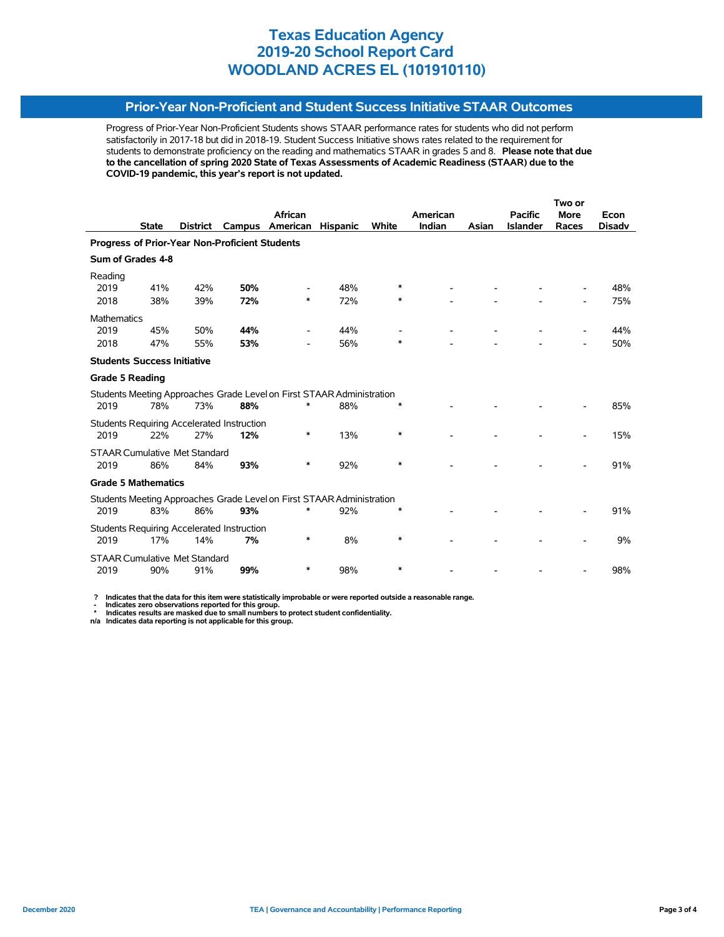### **Prior-Year Non-Proficient and Student Success Initiative STAAR Outcomes**

Progress of Prior-Year Non-Proficient Students shows STAAR performance rates for students who did not perform satisfactorily in 2017-18 but did in 2018-19. Student Success Initiative shows rates related to the requirement for students to demonstrate proficiency on the reading and mathematics STAAR in grades 5 and 8. **Please note that due to the cancellation of spring 2020 State of Texas Assessments of Academic Readiness (STAAR) due to the COVID-19 pandemic, this year's report is not updated.**

|                                                                       |              |                                      |                                                   |                                                                       |                 |              | Two or   |       |                 |             |               |
|-----------------------------------------------------------------------|--------------|--------------------------------------|---------------------------------------------------|-----------------------------------------------------------------------|-----------------|--------------|----------|-------|-----------------|-------------|---------------|
|                                                                       |              |                                      |                                                   | African                                                               |                 |              | American |       | <b>Pacific</b>  | <b>More</b> | Econ          |
|                                                                       | <b>State</b> | <b>District</b>                      | Campus                                            | American                                                              | <b>Hispanic</b> | <b>White</b> | Indian   | Asian | <b>Islander</b> | Races       | <b>Disadv</b> |
| Progress of Prior-Year Non-Proficient Students                        |              |                                      |                                                   |                                                                       |                 |              |          |       |                 |             |               |
| Sum of Grades 4-8                                                     |              |                                      |                                                   |                                                                       |                 |              |          |       |                 |             |               |
| Reading                                                               |              |                                      |                                                   |                                                                       |                 |              |          |       |                 |             |               |
| 2019                                                                  | 41%          | 42%                                  | 50%                                               |                                                                       | 48%             | ∗            |          |       |                 |             | 48%           |
| 2018                                                                  | 38%          | 39%                                  | 72%                                               | $\ast$                                                                | 72%             | ∗            |          |       |                 |             | 75%           |
| <b>Mathematics</b>                                                    |              |                                      |                                                   |                                                                       |                 |              |          |       |                 |             |               |
| 2019                                                                  | 45%          | 50%                                  | 44%                                               |                                                                       | 44%             |              |          |       |                 |             | 44%           |
| 2018                                                                  | 47%          | 55%                                  | 53%                                               |                                                                       | 56%             | $\ast$       |          |       |                 |             | 50%           |
| <b>Students Success Initiative</b>                                    |              |                                      |                                                   |                                                                       |                 |              |          |       |                 |             |               |
| <b>Grade 5 Reading</b>                                                |              |                                      |                                                   |                                                                       |                 |              |          |       |                 |             |               |
|                                                                       |              |                                      |                                                   | Students Meeting Approaches Grade Level on First STAAR Administration |                 |              |          |       |                 |             |               |
| 2019                                                                  | 78%          | 73%                                  | 88%                                               | $\ast$                                                                | 88%             | ∗            |          |       |                 |             | 85%           |
|                                                                       |              |                                      | <b>Students Requiring Accelerated Instruction</b> |                                                                       |                 |              |          |       |                 |             |               |
| 2019                                                                  | 22%          | 27%                                  | 12%                                               | *                                                                     | 13%             | $\ast$       |          |       |                 |             | 15%           |
|                                                                       |              | <b>STAAR Cumulative Met Standard</b> |                                                   |                                                                       |                 |              |          |       |                 |             |               |
| 2019                                                                  | 86%          | 84%                                  | 93%                                               | $\ast$                                                                | 92%             | *            |          |       |                 |             | 91%           |
| <b>Grade 5 Mathematics</b>                                            |              |                                      |                                                   |                                                                       |                 |              |          |       |                 |             |               |
| Students Meeting Approaches Grade Level on First STAAR Administration |              |                                      |                                                   |                                                                       |                 |              |          |       |                 |             |               |
| 2019                                                                  | 83%          | 86%                                  | 93%                                               |                                                                       | 92%             |              |          |       |                 |             | 91%           |
|                                                                       |              |                                      | <b>Students Requiring Accelerated Instruction</b> |                                                                       |                 |              |          |       |                 |             |               |
| 2019                                                                  | 17%          | 14%                                  | 7%                                                | *                                                                     | 8%              | *            |          |       |                 |             | 9%            |
|                                                                       |              | <b>STAAR Cumulative Met Standard</b> |                                                   |                                                                       |                 |              |          |       |                 |             |               |
| 2019                                                                  | 90%          | 91%                                  | 99%                                               | ∗                                                                     | 98%             | $\ast$       |          |       |                 |             | 98%           |

 **? Indicates that the data for this item were statistically improbable or were reported outside a reasonable range.**

 **- Indicates zero observations reported for this group. \* Indicates results are masked due to small numbers to protect student confidentiality.**

**n/a Indicates data reporting is not applicable for this group.**